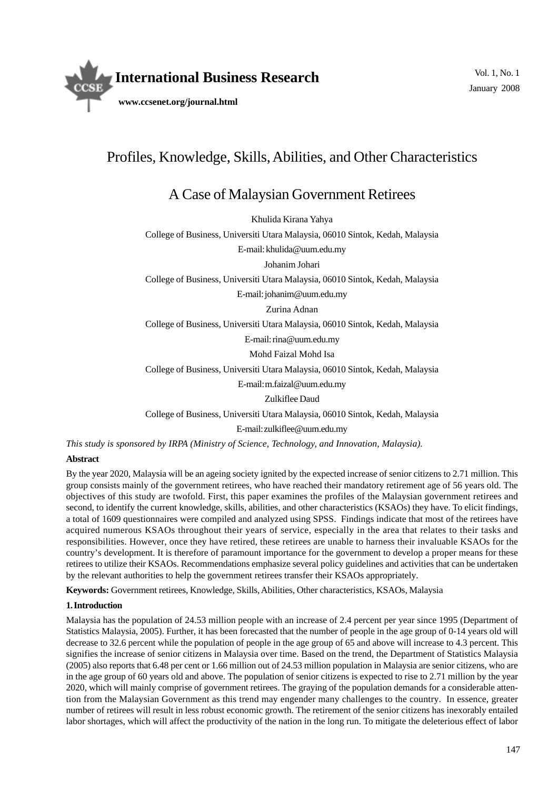

# Profiles, Knowledge, Skills, Abilities, and Other Characteristics

# A Case of Malaysian Government Retirees

Khulida Kirana Yahya

College of Business, Universiti Utara Malaysia, 06010 Sintok, Kedah, Malaysia

E-mail: khulida@uum.edu.my

Johanim Johari

College of Business, Universiti Utara Malaysia, 06010 Sintok, Kedah, Malaysia

E-mail: johanim@uum.edu.my

Zurina Adnan

College of Business, Universiti Utara Malaysia, 06010 Sintok, Kedah, Malaysia

E-mail: rina@uum.edu.my

Mohd Faizal Mohd Isa

College of Business, Universiti Utara Malaysia, 06010 Sintok, Kedah, Malaysia

E-mail: m.faizal@uum.edu.my

Zulkiflee Daud

College of Business, Universiti Utara Malaysia, 06010 Sintok, Kedah, Malaysia

E-mail: zulkiflee@uum.edu.my

*This study is sponsored by IRPA (Ministry of Science, Technology, and Innovation, Malaysia).*

# **Abstract**

By the year 2020, Malaysia will be an ageing society ignited by the expected increase of senior citizens to 2.71 million. This group consists mainly of the government retirees, who have reached their mandatory retirement age of 56 years old. The objectives of this study are twofold. First, this paper examines the profiles of the Malaysian government retirees and second, to identify the current knowledge, skills, abilities, and other characteristics (KSAOs) they have. To elicit findings, a total of 1609 questionnaires were compiled and analyzed using SPSS. Findings indicate that most of the retirees have acquired numerous KSAOs throughout their years of service, especially in the area that relates to their tasks and responsibilities. However, once they have retired, these retirees are unable to harness their invaluable KSAOs for the country's development. It is therefore of paramount importance for the government to develop a proper means for these retirees to utilize their KSAOs. Recommendations emphasize several policy guidelines and activities that can be undertaken by the relevant authorities to help the government retirees transfer their KSAOs appropriately.

**Keywords:** Government retirees, Knowledge, Skills, Abilities, Other characteristics, KSAOs, Malaysia

# **1. Introduction**

Malaysia has the population of 24.53 million people with an increase of 2.4 percent per year since 1995 (Department of Statistics Malaysia, 2005). Further, it has been forecasted that the number of people in the age group of 0-14 years old will decrease to 32.6 percent while the population of people in the age group of 65 and above will increase to 4.3 percent. This signifies the increase of senior citizens in Malaysia over time. Based on the trend, the Department of Statistics Malaysia (2005) also reports that 6.48 per cent or 1.66 million out of 24.53 million population in Malaysia are senior citizens, who are in the age group of 60 years old and above. The population of senior citizens is expected to rise to 2.71 million by the year 2020, which will mainly comprise of government retirees. The graying of the population demands for a considerable attention from the Malaysian Government as this trend may engender many challenges to the country. In essence, greater number of retirees will result in less robust economic growth. The retirement of the senior citizens has inexorably entailed labor shortages, which will affect the productivity of the nation in the long run. To mitigate the deleterious effect of labor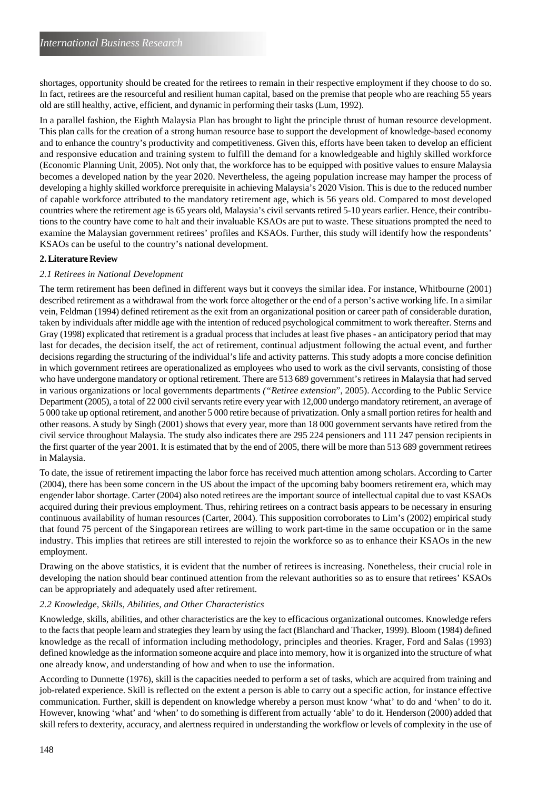shortages, opportunity should be created for the retirees to remain in their respective employment if they choose to do so. In fact, retirees are the resourceful and resilient human capital, based on the premise that people who are reaching 55 years old are still healthy, active, efficient, and dynamic in performing their tasks (Lum, 1992).

In a parallel fashion, the Eighth Malaysia Plan has brought to light the principle thrust of human resource development. This plan calls for the creation of a strong human resource base to support the development of knowledge-based economy and to enhance the country's productivity and competitiveness. Given this, efforts have been taken to develop an efficient and responsive education and training system to fulfill the demand for a knowledgeable and highly skilled workforce (Economic Planning Unit, 2005). Not only that, the workforce has to be equipped with positive values to ensure Malaysia becomes a developed nation by the year 2020. Nevertheless, the ageing population increase may hamper the process of developing a highly skilled workforce prerequisite in achieving Malaysia's 2020 Vision. This is due to the reduced number of capable workforce attributed to the mandatory retirement age, which is 56 years old. Compared to most developed countries where the retirement age is 65 years old, Malaysia's civil servants retired 5-10 years earlier. Hence, their contributions to the country have come to halt and their invaluable KSAOs are put to waste. These situations prompted the need to examine the Malaysian government retirees' profiles and KSAOs. Further, this study will identify how the respondents' KSAOs can be useful to the country's national development.

# **2. Literature Review**

# *2.1 Retirees in National Development*

The term retirement has been defined in different ways but it conveys the similar idea. For instance, Whitbourne (2001) described retirement as a withdrawal from the work force altogether or the end of a person's active working life. In a similar vein, Feldman (1994) defined retirement as the exit from an organizational position or career path of considerable duration, taken by individuals after middle age with the intention of reduced psychological commitment to work thereafter. Sterns and Gray (1998) explicated that retirement is a gradual process that includes at least five phases - an anticipatory period that may last for decades, the decision itself, the act of retirement, continual adjustment following the actual event, and further decisions regarding the structuring of the individual's life and activity patterns. This study adopts a more concise definition in which government retirees are operationalized as employees who used to work as the civil servants, consisting of those who have undergone mandatory or optional retirement. There are 513 689 government's retirees in Malaysia that had served in various organizations or local governments departments *("Retiree extension*", 2005). According to the Public Service Department (2005), a total of 22 000 civil servants retire every year with 12,000 undergo mandatory retirement, an average of 5 000 take up optional retirement, and another 5 000 retire because of privatization. Only a small portion retires for health and other reasons. A study by Singh (2001) shows that every year, more than 18 000 government servants have retired from the civil service throughout Malaysia. The study also indicates there are 295 224 pensioners and 111 247 pension recipients in the first quarter of the year 2001. It is estimated that by the end of 2005, there will be more than 513 689 government retirees in Malaysia.

To date, the issue of retirement impacting the labor force has received much attention among scholars. According to Carter (2004), there has been some concern in the US about the impact of the upcoming baby boomers retirement era, which may engender labor shortage. Carter (2004) also noted retirees are the important source of intellectual capital due to vast KSAOs acquired during their previous employment. Thus, rehiring retirees on a contract basis appears to be necessary in ensuring continuous availability of human resources (Carter, 2004). This supposition corroborates to Lim's (2002) empirical study that found 75 percent of the Singaporean retirees are willing to work part-time in the same occupation or in the same industry. This implies that retirees are still interested to rejoin the workforce so as to enhance their KSAOs in the new employment.

Drawing on the above statistics, it is evident that the number of retirees is increasing. Nonetheless, their crucial role in developing the nation should bear continued attention from the relevant authorities so as to ensure that retirees' KSAOs can be appropriately and adequately used after retirement.

# *2.2 Knowledge, Skills, Abilities, and Other Characteristics*

Knowledge, skills, abilities, and other characteristics are the key to efficacious organizational outcomes. Knowledge refers to the facts that people learn and strategies they learn by using the fact (Blanchard and Thacker, 1999). Bloom (1984) defined knowledge as the recall of information including methodology, principles and theories. Krager, Ford and Salas (1993) defined knowledge as the information someone acquire and place into memory, how it is organized into the structure of what one already know, and understanding of how and when to use the information.

According to Dunnette (1976), skill is the capacities needed to perform a set of tasks, which are acquired from training and job-related experience. Skill is reflected on the extent a person is able to carry out a specific action, for instance effective communication. Further, skill is dependent on knowledge whereby a person must know 'what' to do and 'when' to do it. However, knowing 'what' and 'when' to do something is different from actually 'able' to do it. Henderson (2000) added that skill refers to dexterity, accuracy, and alertness required in understanding the workflow or levels of complexity in the use of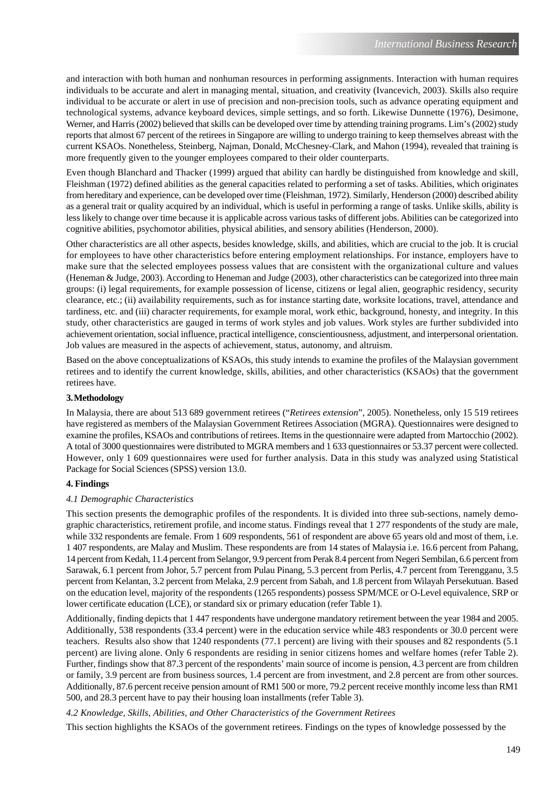and interaction with both human and nonhuman resources in performing assignments. Interaction with human requires individuals to be accurate and alert in managing mental, situation, and creativity (Ivancevich, 2003). Skills also require individual to be accurate or alert in use of precision and non-precision tools, such as advance operating equipment and technological systems, advance keyboard devices, simple settings, and so forth. Likewise Dunnette (1976), Desimone, Werner, and Harris (2002) believed that skills can be developed over time by attending training programs. Lim's (2002) study reports that almost 67 percent of the retirees in Singapore are willing to undergo training to keep themselves abreast with the current KSAOs. Nonetheless, Steinberg, Najman, Donald, McChesney-Clark, and Mahon (1994), revealed that training is more frequently given to the younger employees compared to their older counterparts.

Even though Blanchard and Thacker (1999) argued that ability can hardly be distinguished from knowledge and skill, Fleishman (1972) defined abilities as the general capacities related to performing a set of tasks. Abilities, which originates from hereditary and experience, can be developed over time (Fleishman, 1972). Similarly, Henderson (2000) described ability as a general trait or quality acquired by an individual, which is useful in performing a range of tasks. Unlike skills, ability is less likely to change over time because it is applicable across various tasks of different jobs. Abilities can be categorized into cognitive abilities, psychomotor abilities, physical abilities, and sensory abilities (Henderson, 2000).

Other characteristics are all other aspects, besides knowledge, skills, and abilities, which are crucial to the job. It is crucial for employees to have other characteristics before entering employment relationships. For instance, employers have to make sure that the selected employees possess values that are consistent with the organizational culture and values (Heneman & Judge, 2003). According to Heneman and Judge (2003), other characteristics can be categorized into three main groups: (i) legal requirements, for example possession of license, citizens or legal alien, geographic residency, security clearance, etc.; (ii) availability requirements, such as for instance starting date, worksite locations, travel, attendance and tardiness, etc. and (iii) character requirements, for example moral, work ethic, background, honesty, and integrity. In this study, other characteristics are gauged in terms of work styles and job values. Work styles are further subdivided into achievement orientation, social influence, practical intelligence, conscientiousness, adjustment, and interpersonal orientation. Job values are measured in the aspects of achievement, status, autonomy, and altruism.

Based on the above conceptualizations of KSAOs, this study intends to examine the profiles of the Malaysian government retirees and to identify the current knowledge, skills, abilities, and other characteristics (KSAOs) that the government retirees have.

# **3. Methodology**

In Malaysia, there are about 513 689 government retirees ("*Retirees extension*", 2005). Nonetheless, only 15 519 retirees have registered as members of the Malaysian Government Retirees Association (MGRA). Questionnaires were designed to examine the profiles, KSAOs and contributions of retirees. Items in the questionnaire were adapted from Martocchio (2002). A total of 3000 questionnaires were distributed to MGRA members and 1 633 questionnaires or 53.37 percent were collected. However, only 1 609 questionnaires were used for further analysis. Data in this study was analyzed using Statistical Package for Social Sciences (SPSS) version 13.0.

# **4. Findings**

#### *4.1 Demographic Characteristics*

This section presents the demographic profiles of the respondents. It is divided into three sub-sections, namely demographic characteristics, retirement profile, and income status. Findings reveal that 1 277 respondents of the study are male, while 332 respondents are female. From 1 609 respondents, 561 of respondent are above 65 years old and most of them, i.e. 1 407 respondents, are Malay and Muslim. These respondents are from 14 states of Malaysia i.e. 16.6 percent from Pahang, 14 percent from Kedah, 11.4 percent from Selangor, 9.9 percent from Perak 8.4 percent from Negeri Sembilan, 6.6 percent from Sarawak, 6.1 percent from Johor, 5.7 percent from Pulau Pinang, 5.3 percent from Perlis, 4.7 percent from Terengganu, 3.5 percent from Kelantan, 3.2 percent from Melaka, 2.9 percent from Sabah, and 1.8 percent from Wilayah Persekutuan. Based on the education level, majority of the respondents (1265 respondents) possess SPM/MCE or O-Level equivalence, SRP or lower certificate education (LCE), or standard six or primary education (refer Table 1).

Additionally, finding depicts that 1 447 respondents have undergone mandatory retirement between the year 1984 and 2005. Additionally, 538 respondents (33.4 percent) were in the education service while 483 respondents or 30.0 percent were teachers. Results also show that 1240 respondents (77.1 percent) are living with their spouses and 82 respondents (5.1 percent) are living alone. Only 6 respondents are residing in senior citizens homes and welfare homes (refer Table 2). Further, findings show that 87.3 percent of the respondents' main source of income is pension, 4.3 percent are from children or family, 3.9 percent are from business sources, 1.4 percent are from investment, and 2.8 percent are from other sources. Additionally, 87.6 percent receive pension amount of RM1 500 or more, 79.2 percent receive monthly income less than RM1 500, and 28.3 percent have to pay their housing loan installments (refer Table 3).

# *4.2 Knowledge, Skills, Abilities, and Other Characteristics of the Government Retirees*

This section highlights the KSAOs of the government retirees. Findings on the types of knowledge possessed by the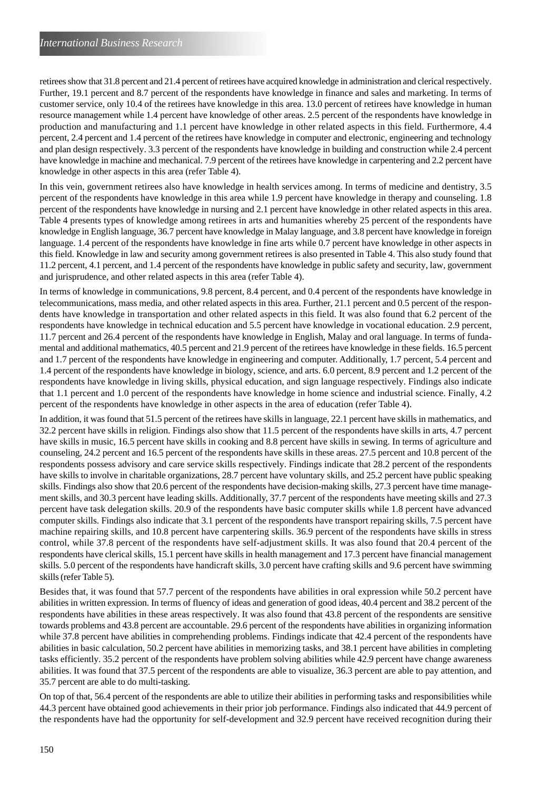retirees show that 31.8 percent and 21.4 percent of retirees have acquired knowledge in administration and clerical respectively. Further, 19.1 percent and 8.7 percent of the respondents have knowledge in finance and sales and marketing. In terms of customer service, only 10.4 of the retirees have knowledge in this area. 13.0 percent of retirees have knowledge in human resource management while 1.4 percent have knowledge of other areas. 2.5 percent of the respondents have knowledge in production and manufacturing and 1.1 percent have knowledge in other related aspects in this field. Furthermore, 4.4 percent, 2.4 percent and 1.4 percent of the retirees have knowledge in computer and electronic, engineering and technology and plan design respectively. 3.3 percent of the respondents have knowledge in building and construction while 2.4 percent have knowledge in machine and mechanical. 7.9 percent of the retirees have knowledge in carpentering and 2.2 percent have knowledge in other aspects in this area (refer Table 4).

In this vein, government retirees also have knowledge in health services among. In terms of medicine and dentistry, 3.5 percent of the respondents have knowledge in this area while 1.9 percent have knowledge in therapy and counseling. 1.8 percent of the respondents have knowledge in nursing and 2.1 percent have knowledge in other related aspects in this area. Table 4 presents types of knowledge among retirees in arts and humanities whereby 25 percent of the respondents have knowledge in English language, 36.7 percent have knowledge in Malay language, and 3.8 percent have knowledge in foreign language. 1.4 percent of the respondents have knowledge in fine arts while 0.7 percent have knowledge in other aspects in this field. Knowledge in law and security among government retirees is also presented in Table 4. This also study found that 11.2 percent, 4.1 percent, and 1.4 percent of the respondents have knowledge in public safety and security, law, government and jurisprudence, and other related aspects in this area (refer Table 4).

In terms of knowledge in communications, 9.8 percent, 8.4 percent, and 0.4 percent of the respondents have knowledge in telecommunications, mass media, and other related aspects in this area. Further, 21.1 percent and 0.5 percent of the respondents have knowledge in transportation and other related aspects in this field. It was also found that 6.2 percent of the respondents have knowledge in technical education and 5.5 percent have knowledge in vocational education. 2.9 percent, 11.7 percent and 26.4 percent of the respondents have knowledge in English, Malay and oral language. In terms of fundamental and additional mathematics, 40.5 percent and 21.9 percent of the retirees have knowledge in these fields. 16.5 percent and 1.7 percent of the respondents have knowledge in engineering and computer. Additionally, 1.7 percent, 5.4 percent and 1.4 percent of the respondents have knowledge in biology, science, and arts. 6.0 percent, 8.9 percent and 1.2 percent of the respondents have knowledge in living skills, physical education, and sign language respectively. Findings also indicate that 1.1 percent and 1.0 percent of the respondents have knowledge in home science and industrial science. Finally, 4.2 percent of the respondents have knowledge in other aspects in the area of education (refer Table 4).

In addition, it was found that 51.5 percent of the retirees have skills in language, 22.1 percent have skills in mathematics, and 32.2 percent have skills in religion. Findings also show that 11.5 percent of the respondents have skills in arts, 4.7 percent have skills in music, 16.5 percent have skills in cooking and 8.8 percent have skills in sewing. In terms of agriculture and counseling, 24.2 percent and 16.5 percent of the respondents have skills in these areas. 27.5 percent and 10.8 percent of the respondents possess advisory and care service skills respectively. Findings indicate that 28.2 percent of the respondents have skills to involve in charitable organizations, 28.7 percent have voluntary skills, and 25.2 percent have public speaking skills. Findings also show that 20.6 percent of the respondents have decision-making skills, 27.3 percent have time management skills, and 30.3 percent have leading skills. Additionally, 37.7 percent of the respondents have meeting skills and 27.3 percent have task delegation skills. 20.9 of the respondents have basic computer skills while 1.8 percent have advanced computer skills. Findings also indicate that 3.1 percent of the respondents have transport repairing skills, 7.5 percent have machine repairing skills, and 10.8 percent have carpentering skills. 36.9 percent of the respondents have skills in stress control, while 37.8 percent of the respondents have self-adjustment skills. It was also found that 20.4 percent of the respondents have clerical skills, 15.1 percent have skills in health management and 17.3 percent have financial management skills. 5.0 percent of the respondents have handicraft skills, 3.0 percent have crafting skills and 9.6 percent have swimming skills (refer Table 5).

Besides that, it was found that 57.7 percent of the respondents have abilities in oral expression while 50.2 percent have abilities in written expression. In terms of fluency of ideas and generation of good ideas, 40.4 percent and 38.2 percent of the respondents have abilities in these areas respectively. It was also found that 43.8 percent of the respondents are sensitive towards problems and 43.8 percent are accountable. 29.6 percent of the respondents have abilities in organizing information while 37.8 percent have abilities in comprehending problems. Findings indicate that 42.4 percent of the respondents have abilities in basic calculation, 50.2 percent have abilities in memorizing tasks, and 38.1 percent have abilities in completing tasks efficiently. 35.2 percent of the respondents have problem solving abilities while 42.9 percent have change awareness abilities. It was found that 37.5 percent of the respondents are able to visualize, 36.3 percent are able to pay attention, and 35.7 percent are able to do multi-tasking.

On top of that, 56.4 percent of the respondents are able to utilize their abilities in performing tasks and responsibilities while 44.3 percent have obtained good achievements in their prior job performance. Findings also indicated that 44.9 percent of the respondents have had the opportunity for self-development and 32.9 percent have received recognition during their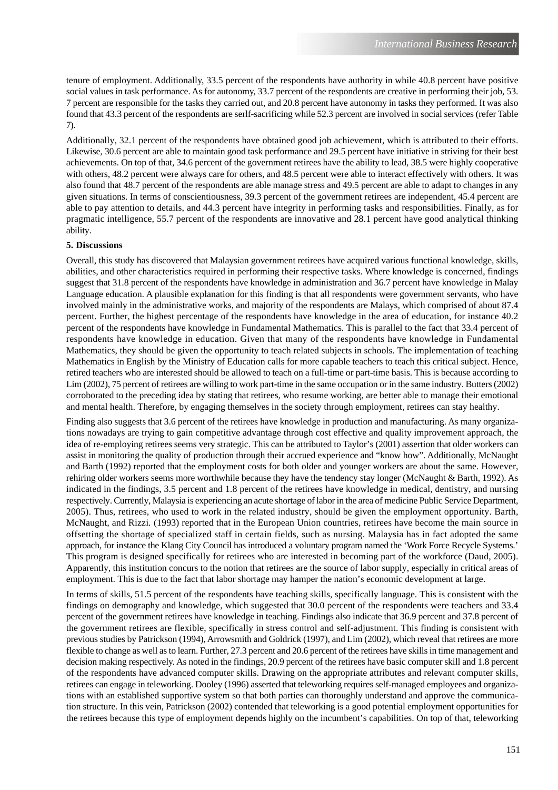tenure of employment. Additionally, 33.5 percent of the respondents have authority in while 40.8 percent have positive social values in task performance. As for autonomy, 33.7 percent of the respondents are creative in performing their job, 53. 7 percent are responsible for the tasks they carried out, and 20.8 percent have autonomy in tasks they performed. It was also found that 43.3 percent of the respondents are serlf-sacrificing while 52.3 percent are involved in social services (refer Table 7).

Additionally, 32.1 percent of the respondents have obtained good job achievement, which is attributed to their efforts. Likewise, 30.6 percent are able to maintain good task performance and 29.5 percent have initiative in striving for their best achievements. On top of that, 34.6 percent of the government retirees have the ability to lead, 38.5 were highly cooperative with others, 48.2 percent were always care for others, and 48.5 percent were able to interact effectively with others. It was also found that 48.7 percent of the respondents are able manage stress and 49.5 percent are able to adapt to changes in any given situations. In terms of conscientiousness, 39.3 percent of the government retirees are independent, 45.4 percent are able to pay attention to details, and 44.3 percent have integrity in performing tasks and responsibilities. Finally, as for pragmatic intelligence, 55.7 percent of the respondents are innovative and 28.1 percent have good analytical thinking ability.

# **5. Discussions**

Overall, this study has discovered that Malaysian government retirees have acquired various functional knowledge, skills, abilities, and other characteristics required in performing their respective tasks. Where knowledge is concerned, findings suggest that 31.8 percent of the respondents have knowledge in administration and 36.7 percent have knowledge in Malay Language education. A plausible explanation for this finding is that all respondents were government servants, who have involved mainly in the administrative works, and majority of the respondents are Malays, which comprised of about 87.4 percent. Further, the highest percentage of the respondents have knowledge in the area of education, for instance 40.2 percent of the respondents have knowledge in Fundamental Mathematics. This is parallel to the fact that 33.4 percent of respondents have knowledge in education. Given that many of the respondents have knowledge in Fundamental Mathematics, they should be given the opportunity to teach related subjects in schools. The implementation of teaching Mathematics in English by the Ministry of Education calls for more capable teachers to teach this critical subject. Hence, retired teachers who are interested should be allowed to teach on a full-time or part-time basis. This is because according to Lim (2002), 75 percent of retirees are willing to work part-time in the same occupation or in the same industry. Butters (2002) corroborated to the preceding idea by stating that retirees, who resume working, are better able to manage their emotional and mental health. Therefore, by engaging themselves in the society through employment, retirees can stay healthy.

Finding also suggests that 3.6 percent of the retirees have knowledge in production and manufacturing. As many organizations nowadays are trying to gain competitive advantage through cost effective and quality improvement approach, the idea of re-employing retirees seems very strategic. This can be attributed to Taylor's (2001) assertion that older workers can assist in monitoring the quality of production through their accrued experience and "know how". Additionally, McNaught and Barth (1992) reported that the employment costs for both older and younger workers are about the same. However, rehiring older workers seems more worthwhile because they have the tendency stay longer (McNaught & Barth, 1992). As indicated in the findings, 3.5 percent and 1.8 percent of the retirees have knowledge in medical, dentistry, and nursing respectively. Currently, Malaysia is experiencing an acute shortage of labor in the area of medicine Public Service Department, 2005). Thus, retirees, who used to work in the related industry, should be given the employment opportunity. Barth, McNaught, and Rizzi*.* (1993) reported that in the European Union countries, retirees have become the main source in offsetting the shortage of specialized staff in certain fields, such as nursing. Malaysia has in fact adopted the same approach, for instance the Klang City Council has introduced a voluntary program named the 'Work Force Recycle Systems.' This program is designed specifically for retirees who are interested in becoming part of the workforce (Daud, 2005). Apparently, this institution concurs to the notion that retirees are the source of labor supply, especially in critical areas of employment. This is due to the fact that labor shortage may hamper the nation's economic development at large.

In terms of skills, 51.5 percent of the respondents have teaching skills, specifically language. This is consistent with the findings on demography and knowledge, which suggested that 30.0 percent of the respondents were teachers and 33.4 percent of the government retirees have knowledge in teaching. Findings also indicate that 36.9 percent and 37.8 percent of the government retirees are flexible, specifically in stress control and self-adjustment. This finding is consistent with previous studies by Patrickson (1994), Arrowsmith and Goldrick (1997), and Lim (2002), which reveal that retirees are more flexible to change as well as to learn. Further, 27.3 percent and 20.6 percent of the retirees have skills in time management and decision making respectively. As noted in the findings, 20.9 percent of the retirees have basic computer skill and 1.8 percent of the respondents have advanced computer skills. Drawing on the appropriate attributes and relevant computer skills, retirees can engage in teleworking. Dooley (1996) asserted that teleworking requires self-managed employees and organizations with an established supportive system so that both parties can thoroughly understand and approve the communication structure. In this vein, Patrickson (2002) contended that teleworking is a good potential employment opportunities for the retirees because this type of employment depends highly on the incumbent's capabilities. On top of that, teleworking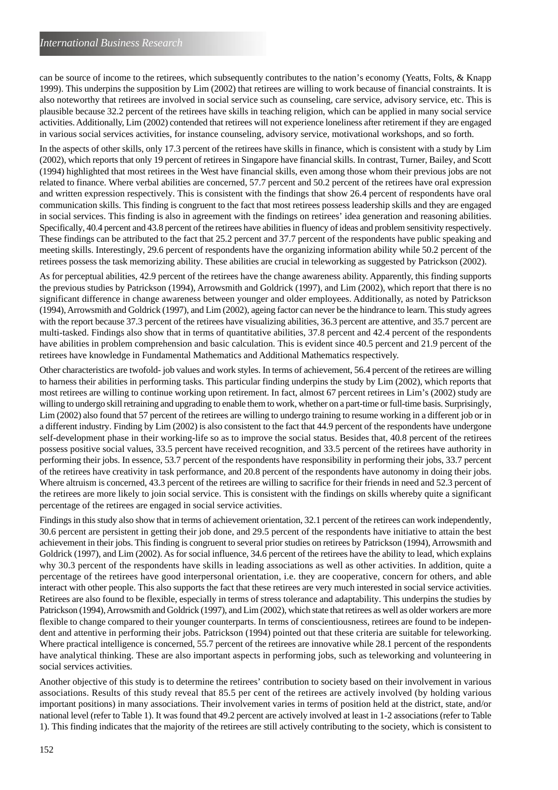can be source of income to the retirees, which subsequently contributes to the nation's economy (Yeatts, Folts, & Knapp 1999). This underpins the supposition by Lim (2002) that retirees are willing to work because of financial constraints. It is also noteworthy that retirees are involved in social service such as counseling, care service, advisory service, etc. This is plausible because 32.2 percent of the retirees have skills in teaching religion, which can be applied in many social service activities. Additionally, Lim (2002) contended that retirees will not experience loneliness after retirement if they are engaged in various social services activities, for instance counseling, advisory service, motivational workshops, and so forth.

In the aspects of other skills, only 17.3 percent of the retirees have skills in finance, which is consistent with a study by Lim (2002), which reports that only 19 percent of retirees in Singapore have financial skills. In contrast, Turner, Bailey, and Scott (1994) highlighted that most retirees in the West have financial skills, even among those whom their previous jobs are not related to finance. Where verbal abilities are concerned, 57.7 percent and 50.2 percent of the retirees have oral expression and written expression respectively. This is consistent with the findings that show 26.4 percent of respondents have oral communication skills. This finding is congruent to the fact that most retirees possess leadership skills and they are engaged in social services. This finding is also in agreement with the findings on retirees' idea generation and reasoning abilities. Specifically, 40.4 percent and 43.8 percent of the retirees have abilities in fluency of ideas and problem sensitivity respectively. These findings can be attributed to the fact that 25.2 percent and 37.7 percent of the respondents have public speaking and meeting skills. Interestingly, 29.6 percent of respondents have the organizing information ability while 50.2 percent of the retirees possess the task memorizing ability. These abilities are crucial in teleworking as suggested by Patrickson (2002).

As for perceptual abilities, 42.9 percent of the retirees have the change awareness ability. Apparently, this finding supports the previous studies by Patrickson (1994), Arrowsmith and Goldrick (1997), and Lim (2002), which report that there is no significant difference in change awareness between younger and older employees. Additionally, as noted by Patrickson (1994), Arrowsmith and Goldrick (1997), and Lim (2002), ageing factor can never be the hindrance to learn. This study agrees with the report because 37.3 percent of the retirees have visualizing abilities, 36.3 percent are attentive, and 35.7 percent are multi-tasked. Findings also show that in terms of quantitative abilities, 37.8 percent and 42.4 percent of the respondents have abilities in problem comprehension and basic calculation. This is evident since 40.5 percent and 21.9 percent of the retirees have knowledge in Fundamental Mathematics and Additional Mathematics respectively.

Other characteristics are twofold- job values and work styles. In terms of achievement, 56.4 percent of the retirees are willing to harness their abilities in performing tasks. This particular finding underpins the study by Lim (2002), which reports that most retirees are willing to continue working upon retirement. In fact, almost 67 percent retirees in Lim's (2002) study are willing to undergo skill retraining and upgrading to enable them to work, whether on a part-time or full-time basis. Surprisingly, Lim (2002) also found that 57 percent of the retirees are willing to undergo training to resume working in a different job or in a different industry. Finding by Lim (2002) is also consistent to the fact that 44.9 percent of the respondents have undergone self-development phase in their working-life so as to improve the social status. Besides that, 40.8 percent of the retirees possess positive social values, 33.5 percent have received recognition, and 33.5 percent of the retirees have authority in performing their jobs. In essence, 53.7 percent of the respondents have responsibility in performing their jobs, 33.7 percent of the retirees have creativity in task performance, and 20.8 percent of the respondents have autonomy in doing their jobs. Where altruism is concerned, 43.3 percent of the retirees are willing to sacrifice for their friends in need and 52.3 percent of the retirees are more likely to join social service. This is consistent with the findings on skills whereby quite a significant percentage of the retirees are engaged in social service activities.

Findings in this study also show that in terms of achievement orientation, 32.1 percent of the retirees can work independently, 30.6 percent are persistent in getting their job done, and 29.5 percent of the respondents have initiative to attain the best achievement in their jobs. This finding is congruent to several prior studies on retirees by Patrickson (1994), Arrowsmith and Goldrick (1997), and Lim (2002). As for social influence, 34.6 percent of the retirees have the ability to lead, which explains why 30.3 percent of the respondents have skills in leading associations as well as other activities. In addition, quite a percentage of the retirees have good interpersonal orientation, i.e. they are cooperative, concern for others, and able interact with other people. This also supports the fact that these retirees are very much interested in social service activities. Retirees are also found to be flexible, especially in terms of stress tolerance and adaptability. This underpins the studies by Patrickson (1994), Arrowsmith and Goldrick (1997), and Lim (2002), which state that retirees as well as older workers are more flexible to change compared to their younger counterparts. In terms of conscientiousness, retirees are found to be independent and attentive in performing their jobs. Patrickson (1994) pointed out that these criteria are suitable for teleworking. Where practical intelligence is concerned, 55.7 percent of the retirees are innovative while 28.1 percent of the respondents have analytical thinking. These are also important aspects in performing jobs, such as teleworking and volunteering in social services activities.

Another objective of this study is to determine the retirees' contribution to society based on their involvement in various associations. Results of this study reveal that 85.5 per cent of the retirees are actively involved (by holding various important positions) in many associations. Their involvement varies in terms of position held at the district, state, and/or national level (refer to Table 1). It was found that 49.2 percent are actively involved at least in 1-2 associations (refer to Table 1). This finding indicates that the majority of the retirees are still actively contributing to the society, which is consistent to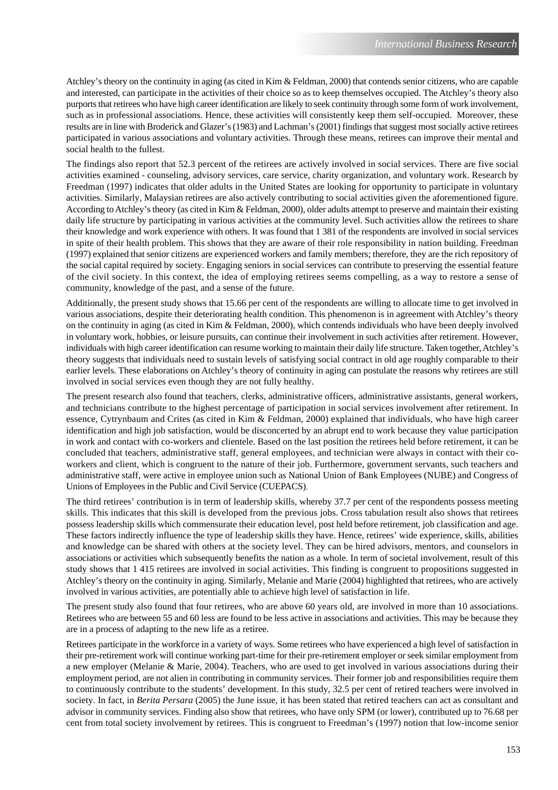Atchley's theory on the continuity in aging (as cited in Kim & Feldman, 2000) that contends senior citizens, who are capable and interested, can participate in the activities of their choice so as to keep themselves occupied. The Atchley's theory also purports that retirees who have high career identification are likely to seek continuity through some form of work involvement, such as in professional associations. Hence, these activities will consistently keep them self-occupied. Moreover, these results are in line with Broderick and Glazer's (1983) and Lachman's (2001) findings that suggest most socially active retirees participated in various associations and voluntary activities. Through these means, retirees can improve their mental and social health to the fullest.

The findings also report that 52.3 percent of the retirees are actively involved in social services. There are five social activities examined - counseling, advisory services, care service, charity organization, and voluntary work. Research by Freedman (1997) indicates that older adults in the United States are looking for opportunity to participate in voluntary activities. Similarly, Malaysian retirees are also actively contributing to social activities given the aforementioned figure. According to Atchley's theory (as cited in Kim & Feldman, 2000), older adults attempt to preserve and maintain their existing daily life structure by participating in various activities at the community level. Such activities allow the retirees to share their knowledge and work experience with others. It was found that 1 381 of the respondents are involved in social services in spite of their health problem. This shows that they are aware of their role responsibility in nation building. Freedman (1997) explained that senior citizens are experienced workers and family members; therefore, they are the rich repository of the social capital required by society. Engaging seniors in social services can contribute to preserving the essential feature of the civil society. In this context, the idea of employing retirees seems compelling, as a way to restore a sense of community, knowledge of the past, and a sense of the future.

Additionally, the present study shows that 15.66 per cent of the respondents are willing to allocate time to get involved in various associations, despite their deteriorating health condition. This phenomenon is in agreement with Atchley's theory on the continuity in aging (as cited in Kim & Feldman, 2000), which contends individuals who have been deeply involved in voluntary work, hobbies, or leisure pursuits, can continue their involvement in such activities after retirement. However, individuals with high career identification can resume working to maintain their daily life structure. Taken together, Atchley's theory suggests that individuals need to sustain levels of satisfying social contract in old age roughly comparable to their earlier levels. These elaborations on Atchley's theory of continuity in aging can postulate the reasons why retirees are still involved in social services even though they are not fully healthy.

The present research also found that teachers, clerks, administrative officers, administrative assistants, general workers, and technicians contribute to the highest percentage of participation in social services involvement after retirement. In essence, Cytrynbaum and Crites (as cited in Kim & Feldman, 2000) explained that individuals, who have high career identification and high job satisfaction, would be disconcerted by an abrupt end to work because they value participation in work and contact with co-workers and clientele. Based on the last position the retirees held before retirement, it can be concluded that teachers, administrative staff, general employees, and technician were always in contact with their coworkers and client, which is congruent to the nature of their job. Furthermore, government servants, such teachers and administrative staff, were active in employee union such as National Union of Bank Employees (NUBE) and Congress of Unions of Employees in the Public and Civil Service (CUEPACS).

The third retirees' contribution is in term of leadership skills, whereby 37.7 per cent of the respondents possess meeting skills. This indicates that this skill is developed from the previous jobs. Cross tabulation result also shows that retirees possess leadership skills which commensurate their education level, post held before retirement, job classification and age. These factors indirectly influence the type of leadership skills they have. Hence, retirees' wide experience, skills, abilities and knowledge can be shared with others at the society level. They can be hired advisors, mentors, and counselors in associations or activities which subsequently benefits the nation as a whole. In term of societal involvement, result of this study shows that 1 415 retirees are involved in social activities. This finding is congruent to propositions suggested in Atchley's theory on the continuity in aging. Similarly, Melanie and Marie (2004) highlighted that retirees, who are actively involved in various activities, are potentially able to achieve high level of satisfaction in life.

The present study also found that four retirees, who are above 60 years old, are involved in more than 10 associations. Retirees who are between 55 and 60 less are found to be less active in associations and activities. This may be because they are in a process of adapting to the new life as a retiree.

Retirees participate in the workforce in a variety of ways. Some retirees who have experienced a high level of satisfaction in their pre-retirement work will continue working part-time for their pre-retirement employer or seek similar employment from a new employer (Melanie & Marie, 2004). Teachers, who are used to get involved in various associations during their employment period, are not alien in contributing in community services. Their former job and responsibilities require them to continuously contribute to the students' development. In this study, 32.5 per cent of retired teachers were involved in society. In fact, in *Berita Persara* (2005) the June issue, it has been stated that retired teachers can act as consultant and advisor in community services. Finding also show that retirees, who have only SPM (or lower), contributed up to 76.68 per cent from total society involvement by retirees. This is congruent to Freedman's (1997) notion that low-income senior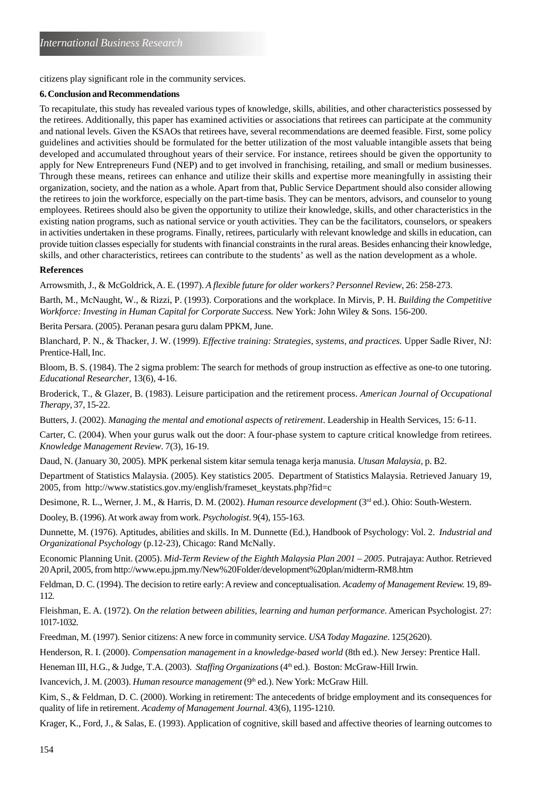citizens play significant role in the community services.

### **6. Conclusion and Recommendations**

To recapitulate, this study has revealed various types of knowledge, skills, abilities, and other characteristics possessed by the retirees. Additionally, this paper has examined activities or associations that retirees can participate at the community and national levels. Given the KSAOs that retirees have, several recommendations are deemed feasible. First, some policy guidelines and activities should be formulated for the better utilization of the most valuable intangible assets that being developed and accumulated throughout years of their service. For instance, retirees should be given the opportunity to apply for New Entrepreneurs Fund (NEP) and to get involved in franchising, retailing, and small or medium businesses. Through these means, retirees can enhance and utilize their skills and expertise more meaningfully in assisting their organization, society, and the nation as a whole. Apart from that, Public Service Department should also consider allowing the retirees to join the workforce, especially on the part-time basis. They can be mentors, advisors, and counselor to young employees. Retirees should also be given the opportunity to utilize their knowledge, skills, and other characteristics in the existing nation programs, such as national service or youth activities. They can be the facilitators, counselors, or speakers in activities undertaken in these programs. Finally, retirees, particularly with relevant knowledge and skills in education, can provide tuition classes especially for students with financial constraints in the rural areas. Besides enhancing their knowledge, skills, and other characteristics, retirees can contribute to the students' as well as the nation development as a whole.

### **References**

Arrowsmith, J., & McGoldrick, A. E. (1997). *A flexible future for older workers? Personnel Review*, 26: 258-273.

Barth, M., McNaught, W., & Rizzi, P. (1993). Corporations and the workplace. In Mirvis, P. H. *Building the Competitive Workforce: Investing in Human Capital for Corporate Success.* New York: John Wiley & Sons. 156-200.

Berita Persara. (2005). Peranan pesara guru dalam PPKM, June.

Blanchard, P. N., & Thacker, J. W. (1999). *Effective training: Strategies, systems, and practices.* Upper Sadle River, NJ: Prentice-Hall, Inc.

Bloom, B. S. (1984). The 2 sigma problem: The search for methods of group instruction as effective as one-to one tutoring. *Educational Researcher,* 13(6), 4-16.

Broderick, T., & Glazer, B. (1983). Leisure participation and the retirement process. *American Journal of Occupational Therapy,* 37, 15-22.

Butters, J. (2002). *Managing the mental and emotional aspects of retirement*. Leadership in Health Services, 15: 6-11.

Carter, C. (2004). When your gurus walk out the door: A four-phase system to capture critical knowledge from retirees. *Knowledge Management Review*. 7(3), 16-19.

Daud, N. (January 30, 2005). MPK perkenal sistem kitar semula tenaga kerja manusia. *Utusan Malaysia*, p. B2.

Department of Statistics Malaysia. (2005). Key statistics 2005. Department of Statistics Malaysia. Retrieved January 19, 2005, from http://www.statistics.gov.my/english/frameset\_keystats.php?fid=c

Desimone, R. L., Werner, J. M., & Harris, D. M. (2002). *Human resource development* (3<sup>rd</sup> ed.). Ohio: South-Western.

Dooley, B. (1996). At work away from work. *Psychologist*. 9(4), 155-163.

Dunnette, M. (1976). Aptitudes, abilities and skills. In M. Dunnette (Ed.), Handbook of Psychology: Vol. 2. *Industrial and Organizational Psychology* (p.12-23), Chicago: Rand McNally.

Economic Planning Unit. (2005). *Mid-Term Review of the Eighth Malaysia Plan 2001 – 2005*. Putrajaya: Author. Retrieved 20 April, 2005, from http://www.epu.jpm.my/New%20Folder/development%20plan/midterm-RM8.htm

Feldman, D. C. (1994). The decision to retire early: A review and conceptualisation. *Academy of Management Review.* 19, 89- 112.

Fleishman, E. A. (1972). *On the relation between abilities, learning and human performance*. American Psychologist. 27: 1017-1032.

Freedman, M. (1997). Senior citizens: A new force in community service. *USA Today Magazine*. 125(2620).

Henderson, R. I. (2000). *Compensation management in a knowledge-based world* (8th ed.). New Jersey: Prentice Hall.

Heneman III, H.G., & Judge, T.A. (2003). *Staffing Organizations* (4<sup>th</sup> ed.). Boston: McGraw-Hill Irwin.

Ivancevich, J. M. (2003). *Human resource management* (9<sup>th</sup> ed.). New York: McGraw Hill.

Kim, S., & Feldman, D. C. (2000). Working in retirement: The antecedents of bridge employment and its consequences for quality of life in retirement. *Academy of Management Journal*. 43(6), 1195-1210.

Krager, K., Ford, J., & Salas, E. (1993). Application of cognitive, skill based and affective theories of learning outcomes to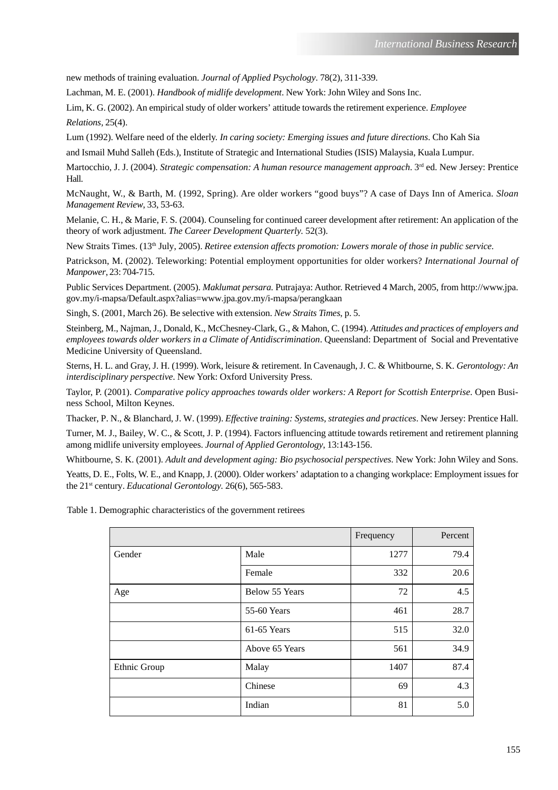new methods of training evaluation. *Journal of Applied Psychology*. 78(2), 311-339.

Lachman, M. E. (2001). *Handbook of midlife development*. New York: John Wiley and Sons Inc.

Lim, K. G. (2002). An empirical study of older workers' attitude towards the retirement experience. *Employee*

*Relations,* 25(4).

Lum (1992). Welfare need of the elderly. *In caring society: Emerging issues and future directions*. Cho Kah Sia

and Ismail Muhd Salleh (Eds.), Institute of Strategic and International Studies (ISIS) Malaysia, Kuala Lumpur.

Martocchio, J. J. (2004). *Strategic compensation: A human resource management approach*. 3<sup>rd</sup> ed. New Jersey: Prentice Hall.

McNaught, W., & Barth, M. (1992, Spring). Are older workers "good buys"? A case of Days Inn of America. *Sloan Management Review*, 33, 53-63.

Melanie, C. H., & Marie, F. S. (2004). Counseling for continued career development after retirement: An application of the theory of work adjustment. *The Career Development Quarterly.* 52(3).

New Straits Times. (13th July, 2005). *Retiree extension affects promotion: Lowers morale of those in public service.*

Patrickson, M. (2002). Teleworking: Potential employment opportunities for older workers? *International Journal of Manpower*, 23: 704-715.

Public Services Department. (2005). *Maklumat persara.* Putrajaya: Author. Retrieved 4 March, 2005, from http://www.jpa. gov.my/i-mapsa/Default.aspx?alias=www.jpa.gov.my/i-mapsa/perangkaan

Singh, S. (2001, March 26). Be selective with extension. *New Straits Times*, p. 5.

Steinberg, M., Najman, J., Donald, K., McChesney-Clark, G., & Mahon, C. (1994). *Attitudes and practices of employers and employees towards older workers in a Climate of Antidiscrimination*. Queensland: Department of Social and Preventative Medicine University of Queensland.

Sterns, H. L. and Gray, J. H. (1999). Work, leisure & retirement. In Cavenaugh, J. C. & Whitbourne, S. K. *Gerontology: An interdisciplinary perspective*. New York: Oxford University Press.

Taylor, P. (2001). *Comparative policy approaches towards older workers: A Report for Scottish Enterprise*. Open Business School, Milton Keynes.

Thacker, P. N., & Blanchard, J. W. (1999). *Effective training: Systems, strategies and practices*. New Jersey: Prentice Hall.

Turner, M. J., Bailey, W. C., & Scott, J. P. (1994). Factors influencing attitude towards retirement and retirement planning among midlife university employees. *Journal of Applied Gerontology*, 13:143-156.

Whitbourne, S. K. (2001). *Adult and development aging: Bio psychosocial perspectives*. New York: John Wiley and Sons.

Yeatts, D. E., Folts, W. E., and Knapp, J. (2000). Older workers' adaptation to a changing workplace: Employment issues for the 21<sup>st</sup> century. *Educational Gerontology*. 26(6), 565-583.

Table 1. Demographic characteristics of the government retirees

|              |                | Frequency | Percent |
|--------------|----------------|-----------|---------|
| Gender       | Male           | 1277      | 79.4    |
|              | Female         | 332       | 20.6    |
| Age          | Below 55 Years | 72        | 4.5     |
|              | 55-60 Years    | 461       | 28.7    |
|              | 61-65 Years    | 515       | 32.0    |
|              | Above 65 Years | 561       | 34.9    |
| Ethnic Group | Malay          | 1407      | 87.4    |
|              | Chinese        | 69        | 4.3     |
|              | Indian         | 81        | 5.0     |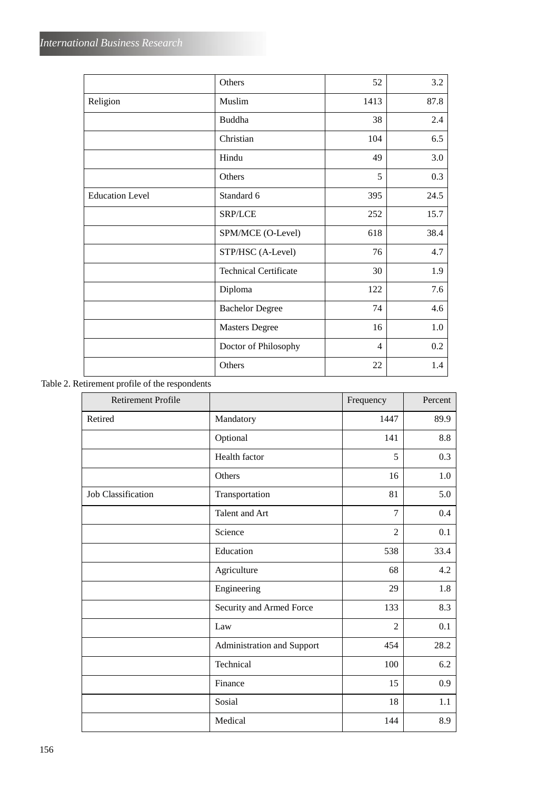|                        | Others                       | 52             | 3.2  |
|------------------------|------------------------------|----------------|------|
| Religion               | Muslim                       | 1413           | 87.8 |
|                        | <b>Buddha</b>                | 38             | 2.4  |
|                        | Christian                    | 104            | 6.5  |
|                        | Hindu                        | 49             | 3.0  |
|                        | Others                       | 5              | 0.3  |
| <b>Education Level</b> | Standard 6                   | 395            | 24.5 |
|                        | SRP/LCE                      | 252            | 15.7 |
|                        | SPM/MCE (O-Level)            | 618            | 38.4 |
|                        | STP/HSC (A-Level)            | 76             | 4.7  |
|                        | <b>Technical Certificate</b> | 30             | 1.9  |
|                        | Diploma                      | 122            | 7.6  |
|                        | <b>Bachelor Degree</b>       | 74             | 4.6  |
|                        | <b>Masters Degree</b>        | 16             | 1.0  |
|                        | Doctor of Philosophy         | $\overline{4}$ | 0.2  |
|                        | Others                       | 22             | 1.4  |

# Table 2. Retirement profile of the respondents

| <b>Retirement Profile</b> |                            | Frequency      | Percent |
|---------------------------|----------------------------|----------------|---------|
| Retired                   | Mandatory                  | 1447           | 89.9    |
|                           | Optional                   | 141            | 8.8     |
|                           | Health factor              | 5              | 0.3     |
|                           | Others                     | 16             | 1.0     |
| <b>Job Classification</b> | Transportation             | 81             | 5.0     |
|                           | Talent and Art             | 7              | 0.4     |
|                           | Science                    | $\overline{2}$ | 0.1     |
|                           | Education                  | 538            | 33.4    |
|                           | Agriculture                | 68             | 4.2     |
|                           | Engineering                | 29             | 1.8     |
|                           | Security and Armed Force   | 133            | 8.3     |
|                           | Law                        | $\overline{2}$ | 0.1     |
|                           | Administration and Support | 454            | 28.2    |
|                           | Technical                  | 100            | 6.2     |
|                           | Finance                    | 15             | 0.9     |
|                           | Sosial                     | 18             | 1.1     |
|                           | Medical                    | 144            | 8.9     |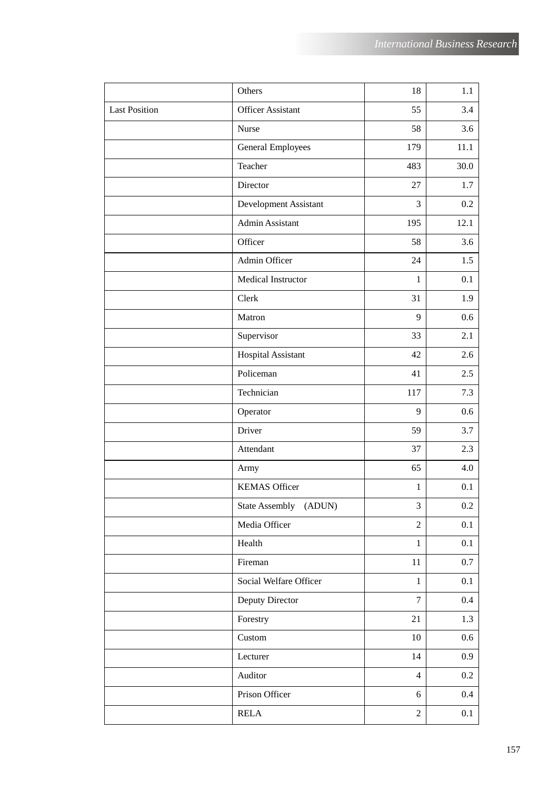|                      | Others                   | 18             | 1.1      |
|----------------------|--------------------------|----------------|----------|
| <b>Last Position</b> | <b>Officer Assistant</b> | 55             | 3.4      |
|                      | Nurse                    | 58             | 3.6      |
|                      | General Employees        | 179            | $11.1\,$ |
|                      | Teacher                  | 483            | 30.0     |
|                      | Director                 | 27             | 1.7      |
|                      | Development Assistant    | 3              | 0.2      |
|                      | Admin Assistant          | 195            | 12.1     |
|                      | Officer                  | 58             | 3.6      |
|                      | Admin Officer            | 24             | 1.5      |
|                      | Medical Instructor       | 1              | 0.1      |
|                      | Clerk                    | 31             | 1.9      |
|                      | Matron                   | 9              | 0.6      |
|                      | Supervisor               | 33             | 2.1      |
|                      | Hospital Assistant       | 42             | 2.6      |
|                      | Policeman                | 41             | 2.5      |
|                      | Technician               | 117            | 7.3      |
|                      | Operator                 | 9              | 0.6      |
|                      | Driver                   | 59             | 3.7      |
|                      | Attendant                | 37             | 2.3      |
|                      | Army                     | 65             | 4.0      |
|                      | <b>KEMAS Officer</b>     | 1              | 0.1      |
|                      | State Assembly (ADUN)    | 3              | $0.2\,$  |
|                      | Media Officer            | $\overline{2}$ | 0.1      |
|                      | Health                   | $\mathbf{1}$   | 0.1      |
|                      | Fireman                  | $11\,$         | 0.7      |
|                      | Social Welfare Officer   | $\mathbf{1}$   | 0.1      |
|                      | Deputy Director          | $\overline{7}$ | $0.4\,$  |
|                      | Forestry                 | 21             | 1.3      |
|                      | Custom                   | $10\,$         | 0.6      |
|                      | Lecturer                 | 14             | 0.9      |
|                      | Auditor                  | $\overline{4}$ | $0.2\,$  |
|                      | Prison Officer           | 6              | $0.4\,$  |
|                      | <b>RELA</b>              | $\overline{2}$ | 0.1      |
|                      |                          |                |          |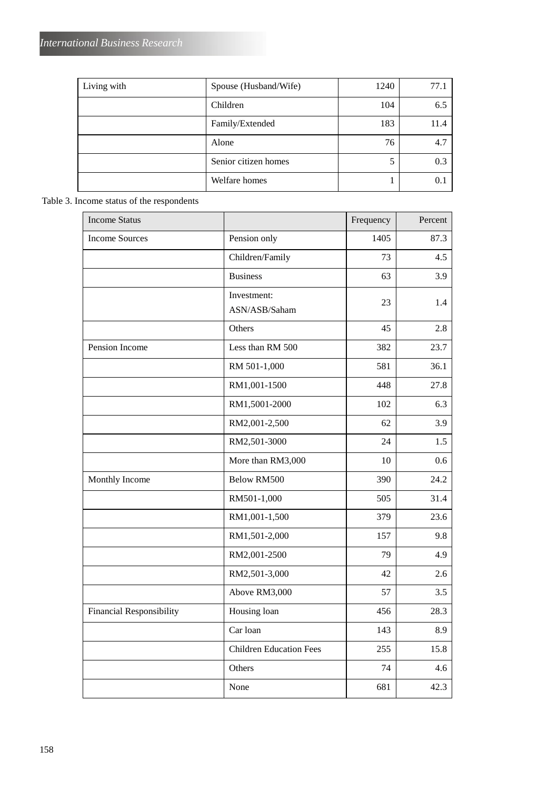| Living with | Spouse (Husband/Wife) | 1240 | 77.1 |
|-------------|-----------------------|------|------|
|             | Children              | 104  | 6.5  |
|             | Family/Extended       | 183  | 11.4 |
|             | Alone                 | 76   | 4.7  |
|             | Senior citizen homes  | 5    | 0.3  |
|             | Welfare homes         |      | 0.1  |

# Table 3. Income status of the respondents

| <b>Income Status</b>            |                                | Frequency | Percent |
|---------------------------------|--------------------------------|-----------|---------|
| <b>Income Sources</b>           | Pension only                   | 1405      | 87.3    |
|                                 | Children/Family                | 73        | 4.5     |
|                                 | <b>Business</b>                | 63        | 3.9     |
|                                 | Investment:<br>ASN/ASB/Saham   | 23        | 1.4     |
|                                 | Others                         | 45        | 2.8     |
| Pension Income                  | Less than RM 500               | 382       | 23.7    |
|                                 | RM 501-1,000                   | 581       | 36.1    |
|                                 | RM1,001-1500                   | 448       | 27.8    |
|                                 | RM1,5001-2000                  | 102       | 6.3     |
|                                 | RM2,001-2,500                  | 62        | 3.9     |
|                                 | RM2,501-3000                   | 24        | 1.5     |
|                                 | More than RM3,000              | 10        | 0.6     |
| Monthly Income                  | <b>Below RM500</b>             | 390       | 24.2    |
|                                 | RM501-1,000                    | 505       | 31.4    |
|                                 | RM1,001-1,500                  | 379       | 23.6    |
|                                 | RM1,501-2,000                  | 157       | 9.8     |
|                                 | RM2,001-2500                   | 79        | 4.9     |
|                                 | RM2,501-3,000                  | 42        | 2.6     |
|                                 | Above RM3,000                  | 57        | 3.5     |
| <b>Financial Responsibility</b> | Housing loan                   | 456       | 28.3    |
|                                 | Car loan                       | 143       | 8.9     |
|                                 | <b>Children Education Fees</b> | 255       | 15.8    |
|                                 | Others                         | 74        | 4.6     |
|                                 | None                           | 681       | 42.3    |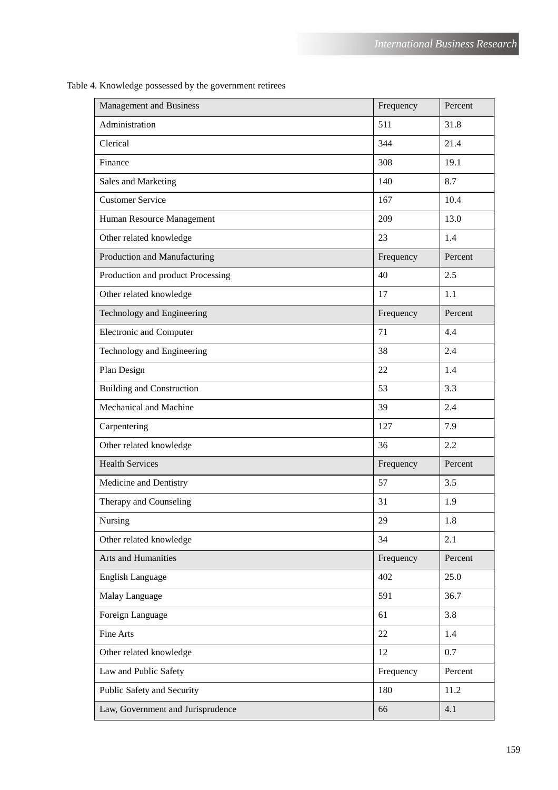| <b>Management and Business</b>    | Frequency | Percent |
|-----------------------------------|-----------|---------|
| Administration                    | 511       | 31.8    |
| Clerical                          | 344       | 21.4    |
| Finance                           | 308       | 19.1    |
| Sales and Marketing               | 140       | 8.7     |
| <b>Customer Service</b>           | 167       | 10.4    |
| Human Resource Management         | 209       | 13.0    |
| Other related knowledge           | 23        | 1.4     |
| Production and Manufacturing      | Frequency | Percent |
| Production and product Processing | 40        | 2.5     |
| Other related knowledge           | 17        | 1.1     |
| Technology and Engineering        | Frequency | Percent |
| <b>Electronic and Computer</b>    | 71        | 4.4     |
| Technology and Engineering        | 38        | 2.4     |
| Plan Design                       | 22        | 1.4     |
| <b>Building and Construction</b>  | 53        | 3.3     |
| Mechanical and Machine            | 39        | 2.4     |
| Carpentering                      | 127       | 7.9     |
| Other related knowledge           | 36        | 2.2     |
| <b>Health Services</b>            | Frequency | Percent |
| Medicine and Dentistry            | 57        | 3.5     |
| Therapy and Counseling            | 31        | 1.9     |
| Nursing                           | 29        | 1.8     |
| Other related knowledge           | 34        | 2.1     |
| Arts and Humanities               | Frequency | Percent |
| <b>English Language</b>           | 402       | 25.0    |
| Malay Language                    | 591       | 36.7    |
| Foreign Language                  | 61        | 3.8     |
| Fine Arts                         | 22        | 1.4     |
| Other related knowledge           | 12        | 0.7     |
| Law and Public Safety             | Frequency | Percent |
| Public Safety and Security        | 180       | 11.2    |
| Law, Government and Jurisprudence | 66        | 4.1     |

Table 4. Knowledge possessed by the government retirees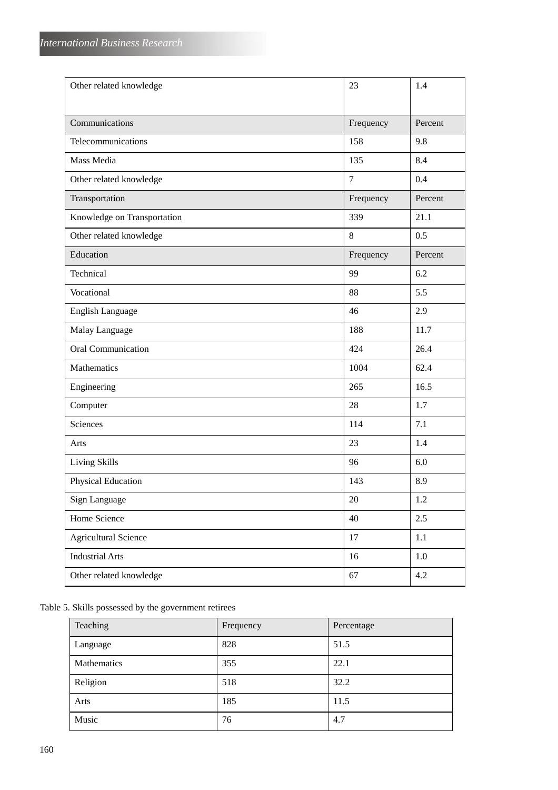| Other related knowledge     | 23             | 1.4     |
|-----------------------------|----------------|---------|
|                             |                |         |
| Communications              | Frequency      | Percent |
| Telecommunications          | 158            | 9.8     |
| Mass Media                  | 135            | 8.4     |
| Other related knowledge     | $\overline{7}$ | 0.4     |
| Transportation              | Frequency      | Percent |
| Knowledge on Transportation | 339            | 21.1    |
| Other related knowledge     | 8              | 0.5     |
| Education                   | Frequency      | Percent |
| Technical                   | 99             | 6.2     |
| Vocational                  | 88             | 5.5     |
| English Language            | 46             | 2.9     |
| Malay Language              | 188            | 11.7    |
| <b>Oral Communication</b>   | 424            | 26.4    |
| Mathematics                 | 1004           | 62.4    |
| Engineering                 | 265            | 16.5    |
| Computer                    | 28             | 1.7     |
| <b>Sciences</b>             | 114            | 7.1     |
| Arts                        | 23             | 1.4     |
| <b>Living Skills</b>        | 96             | 6.0     |
| Physical Education          | 143            | 8.9     |
| Sign Language               | 20             | $1.2\,$ |
| Home Science                | 40             | 2.5     |
| <b>Agricultural Science</b> | 17             | 1.1     |
| <b>Industrial Arts</b>      | 16             | 1.0     |
| Other related knowledge     | 67             | 4.2     |

# Table 5. Skills possessed by the government retirees

| Teaching    | Frequency | Percentage |
|-------------|-----------|------------|
| Language    | 828       | 51.5       |
| Mathematics | 355       | 22.1       |
| Religion    | 518       | 32.2       |
| Arts        | 185       | 11.5       |
| Music       | 76        | 4.7        |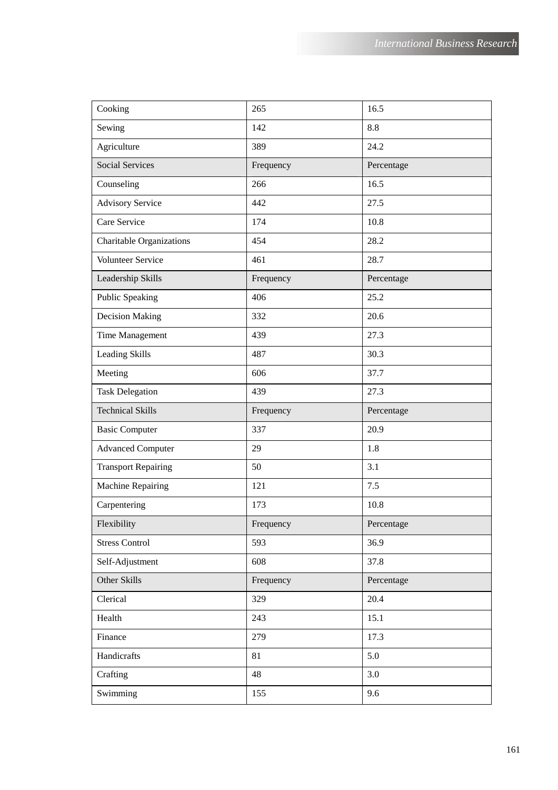| Cooking                         | 265       | 16.5       |
|---------------------------------|-----------|------------|
| Sewing                          | 142       | 8.8        |
| Agriculture                     | 389       | 24.2       |
| <b>Social Services</b>          | Frequency | Percentage |
| Counseling                      | 266       | 16.5       |
| <b>Advisory Service</b>         | 442       | 27.5       |
| Care Service                    | 174       | 10.8       |
| <b>Charitable Organizations</b> | 454       | 28.2       |
| Volunteer Service               | 461       | 28.7       |
| Leadership Skills               | Frequency | Percentage |
| <b>Public Speaking</b>          | 406       | 25.2       |
| <b>Decision Making</b>          | 332       | 20.6       |
| Time Management                 | 439       | 27.3       |
| <b>Leading Skills</b>           | 487       | 30.3       |
| Meeting                         | 606       | 37.7       |
| <b>Task Delegation</b>          | 439       | 27.3       |
|                                 |           |            |
| <b>Technical Skills</b>         | Frequency | Percentage |
| <b>Basic Computer</b>           | 337       | 20.9       |
| <b>Advanced Computer</b>        | 29        | 1.8        |
| <b>Transport Repairing</b>      | 50        | 3.1        |
| Machine Repairing               | 121       | 7.5        |
| Carpentering                    | 173       | 10.8       |
| Flexibility                     | Frequency | Percentage |
| <b>Stress Control</b>           | 593       | 36.9       |
| Self-Adjustment                 | 608       | 37.8       |
| Other Skills                    | Frequency | Percentage |
| Clerical                        | 329       | 20.4       |
| Health                          | 243       | 15.1       |
| Finance                         | 279       | 17.3       |
| Handicrafts                     | 81        | 5.0        |
| Crafting                        | 48        | 3.0        |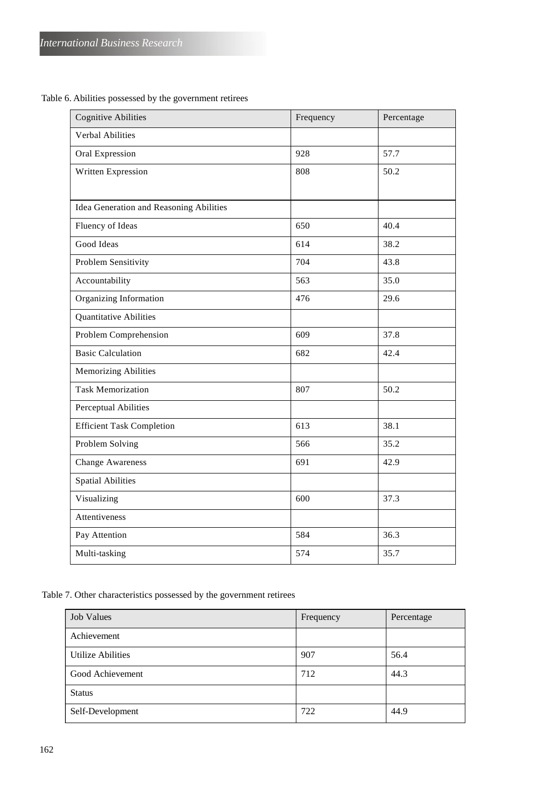Table 6. Abilities possessed by the government retirees

| <b>Cognitive Abilities</b>              | Frequency | Percentage |
|-----------------------------------------|-----------|------------|
| <b>Verbal Abilities</b>                 |           |            |
| Oral Expression                         | 928       | 57.7       |
| Written Expression                      | 808       | 50.2       |
|                                         |           |            |
| Idea Generation and Reasoning Abilities |           |            |
| Fluency of Ideas                        | 650       | 40.4       |
| Good Ideas                              | 614       | 38.2       |
| Problem Sensitivity                     | 704       | 43.8       |
| Accountability                          | 563       | 35.0       |
| Organizing Information                  | 476       | 29.6       |
| <b>Quantitative Abilities</b>           |           |            |
| Problem Comprehension                   | 609       | 37.8       |
| <b>Basic Calculation</b>                | 682       | 42.4       |
| <b>Memorizing Abilities</b>             |           |            |
| <b>Task Memorization</b>                | 807       | 50.2       |
| <b>Perceptual Abilities</b>             |           |            |
| <b>Efficient Task Completion</b>        | 613       | 38.1       |
| Problem Solving                         | 566       | 35.2       |
| <b>Change Awareness</b>                 | 691       | 42.9       |
| <b>Spatial Abilities</b>                |           |            |
| Visualizing                             | 600       | 37.3       |
| Attentiveness                           |           |            |
| Pay Attention                           | 584       | 36.3       |
| Multi-tasking                           | 574       | 35.7       |

Table 7. Other characteristics possessed by the government retirees

| Job Values               | Frequency | Percentage |
|--------------------------|-----------|------------|
| Achievement              |           |            |
| <b>Utilize Abilities</b> | 907       | 56.4       |
| Good Achievement         | 712       | 44.3       |
| <b>Status</b>            |           |            |
| Self-Development         | 722       | 44.9       |